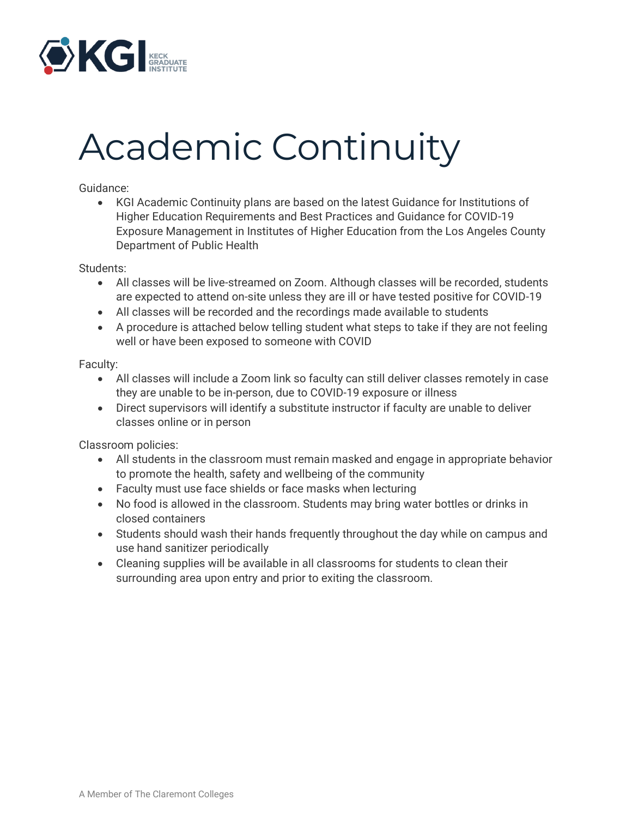

# Academic Continuity

Guidance:

• KGI Academic Continuity plans are based on the latest Guidance for Institutions of Higher Education Requirements and Best Practices and Guidance for COVID-19 Exposure Management in Institutes of Higher Education from the Los Angeles County Department of Public Health

Students:

- All classes will be live-streamed on Zoom. Although classes will be recorded, students are expected to attend on-site unless they are ill or have tested positive for COVID-19
- All classes will be recorded and the recordings made available to students
- A procedure is attached below telling student what steps to take if they are not feeling well or have been exposed to someone with COVID

Faculty:

- All classes will include a Zoom link so faculty can still deliver classes remotely in case they are unable to be in-person, due to COVID-19 exposure or illness
- Direct supervisors will identify a substitute instructor if faculty are unable to deliver classes online or in person

Classroom policies:

- All students in the classroom must remain masked and engage in appropriate behavior to promote the health, safety and wellbeing of the community
- Faculty must use face shields or face masks when lecturing
- No food is allowed in the classroom. Students may bring water bottles or drinks in closed containers
- Students should wash their hands frequently throughout the day while on campus and use hand sanitizer periodically
- Cleaning supplies will be available in all classrooms for students to clean their surrounding area upon entry and prior to exiting the classroom.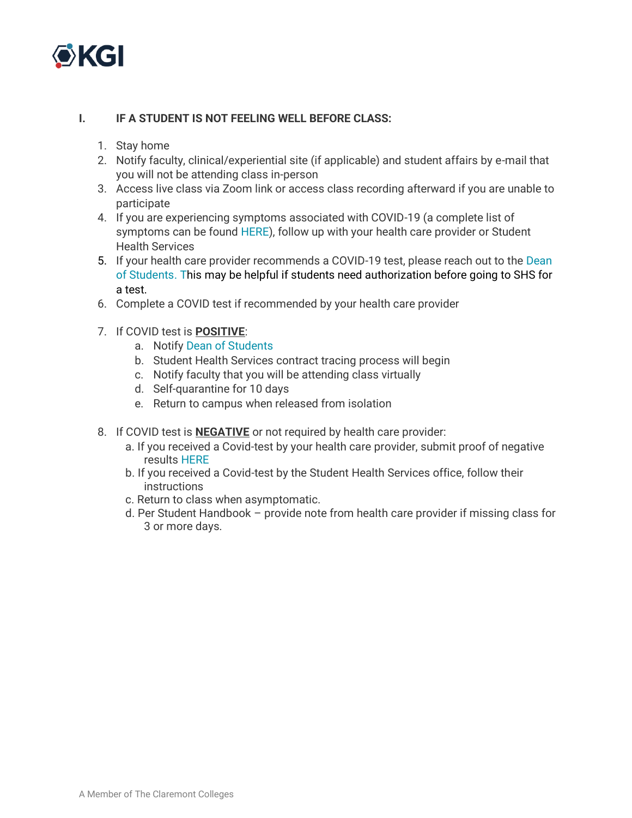

# **I. IF A STUDENT IS NOT FEELING WELL BEFORE CLASS:**

- 1. Stay home
- 2. Notify faculty, clinical/experiential site (if applicable) and student affairs by e-mail that you will not be attending class in-person
- 3. Access live class via Zoom link or access class recording afterward if you are unable to participate
- 4. If you are experiencing symptoms associated with COVID-19 (a complete list of symptoms can be found [HERE\)](https://www.cdc.gov/coronavirus/2019-ncov/symptoms-testing/symptoms.html), follow up with your health care provider or Student Health Services
- 5. If your health care provider recommends a COVID-19 test, please reach out to the [Dean](mailto:deanofstudents@kgi.edu)  [of Students.](mailto:deanofstudents@kgi.edu) This may be helpful if students need authorization before going to SHS for a test.
- 6. Complete a COVID test if recommended by your health care provider
- 7. If COVID test is **POSITIVE**:
	- a. Notify [Dean of Students](mailto:deanofstudents@kgi.edu)
	- b. Student Health Services contract tracing process will begin
	- c. Notify faculty that you will be attending class virtually
	- d. Self-quarantine for 10 days
	- e. Return to campus when released from isolation
- 8. If COVID test is **NEGATIVE** or not required by health care provider:
	- a. If you received a Covid-test by your health care provider, submit proof of negative results [HERE](https://kgi.formstack.com/forms/negative_test_result)
	- b. If you received a Covid-test by the Student Health Services office, follow their instructions
	- c. Return to class when asymptomatic.
	- d. Per Student Handbook provide note from health care provider if missing class for 3 or more days.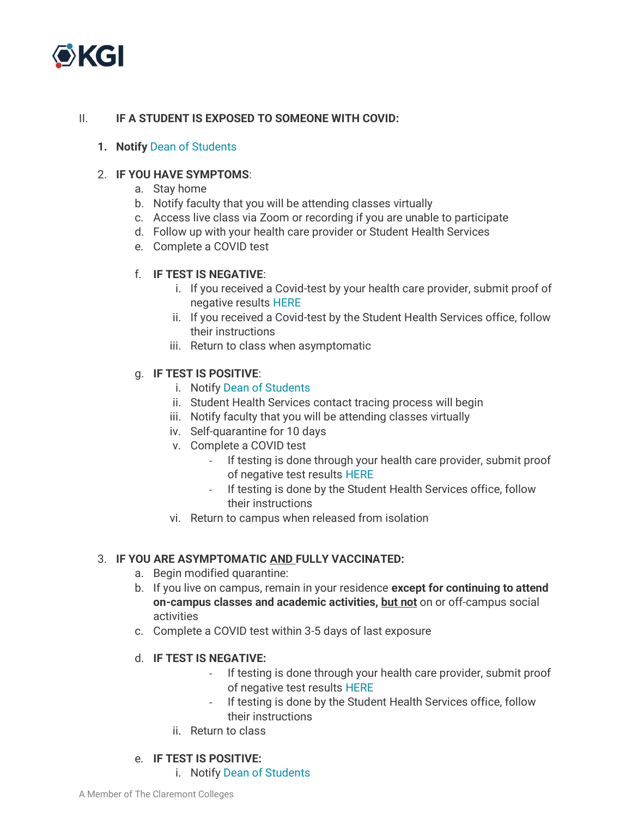

# II. **IF A STUDENT IS EXPOSED TO SOMEONE WITH COVID:**

#### **1. Notify** [Dean of Students](mailto:deanofstudents@kgi.edu)

## 2. **IF YOU HAVE SYMPTOMS**:

- a. Stay home
- b. Notify faculty that you will be attending classes virtually
- c. Access live class via Zoom or recording if you are unable to participate
- d. Follow up with your health care provider or Student Health Services
- e. Complete a COVID test

## f. **IF TEST IS NEGATIVE**:

- i. If you received a Covid-test by your health care provider, submit proof of negative results [HERE](https://kgi.formstack.com/forms/negative_test_result)
- ii. If you received a Covid-test by the Student Health Services office, follow their instructions
- iii. Return to class when asymptomatic

## g. **IF TEST IS POSITIVE**:

- i. Notify [Dean of Students](mailto:deanofstudents@kgi.edu)
- ii. Student Health Services contact tracing process will begin
- iii. Notify faculty that you will be attending classes virtually
- iv. Self-quarantine for 10 days
- v. Complete a COVID test
	- If testing is done through your health care provider, submit proof of negative test results [HERE](https://kgi.formstack.com/forms/negative_test_result)
	- If testing is done by the Student Health Services office, follow their instructions
- vi. Return to campus when released from isolation

## 3. **IF YOU ARE ASYMPTOMATIC AND FULLY VACCINATED:**

- a. Begin modified quarantine:
- b. If you live on campus, remain in your residence **except for continuing to attend on-campus classes and academic activities, but not** on or off-campus social activities
- c. Complete a COVID test within 3-5 days of last exposure

## d. **IF TEST IS NEGATIVE:**

- If testing is done through your health care provider, submit proof of negative test results [HERE](https://kgi.formstack.com/forms/negative_test_result)
- If testing is done by the Student Health Services office, follow their instructions
- ii. Return to class

#### e. **IF TEST IS POSITIVE:**

i. Notify [Dean of Students](mailto:deanofstudents@kgi.edu)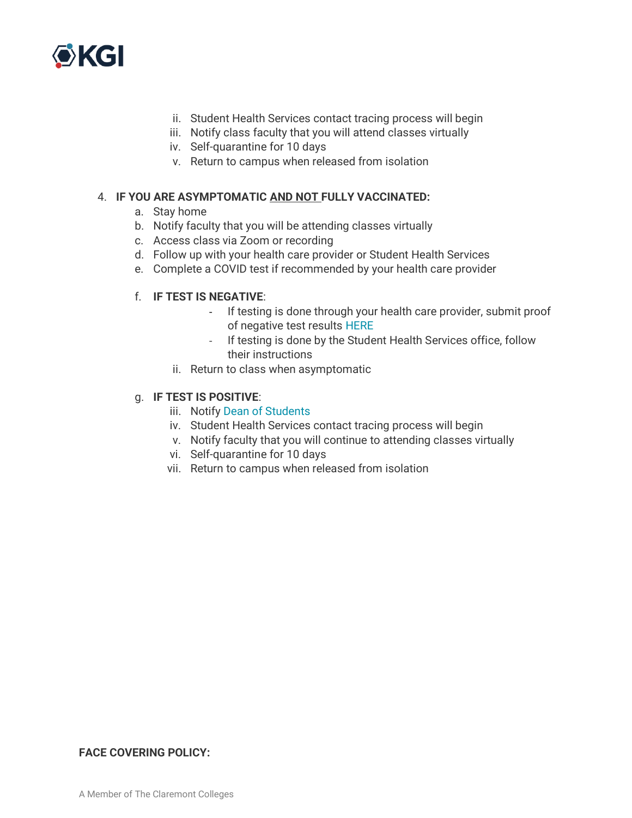

- ii. Student Health Services contact tracing process will begin
- iii. Notify class faculty that you will attend classes virtually
- iv. Self-quarantine for 10 days
- v. Return to campus when released from isolation

## 4. **IF YOU ARE ASYMPTOMATIC AND NOT FULLY VACCINATED:**

- a. Stay home
- b. Notify faculty that you will be attending classes virtually
- c. Access class via Zoom or recording
- d. Follow up with your health care provider or Student Health Services
- e. Complete a COVID test if recommended by your health care provider

# f. **IF TEST IS NEGATIVE**:

- If testing is done through your health care provider, submit proof of negative test results [HERE](https://kgi.formstack.com/forms/negative_test_result)
- If testing is done by the Student Health Services office, follow their instructions
- ii. Return to class when asymptomatic

# g. **IF TEST IS POSITIVE**:

- iii. Notify [Dean of Students](mailto:deanofstudents@kgi.edu)
- iv. Student Health Services contact tracing process will begin
- v. Notify faculty that you will continue to attending classes virtually
- vi. Self-quarantine for 10 days
- vii. Return to campus when released from isolation

## **FACE COVERING POLICY:**